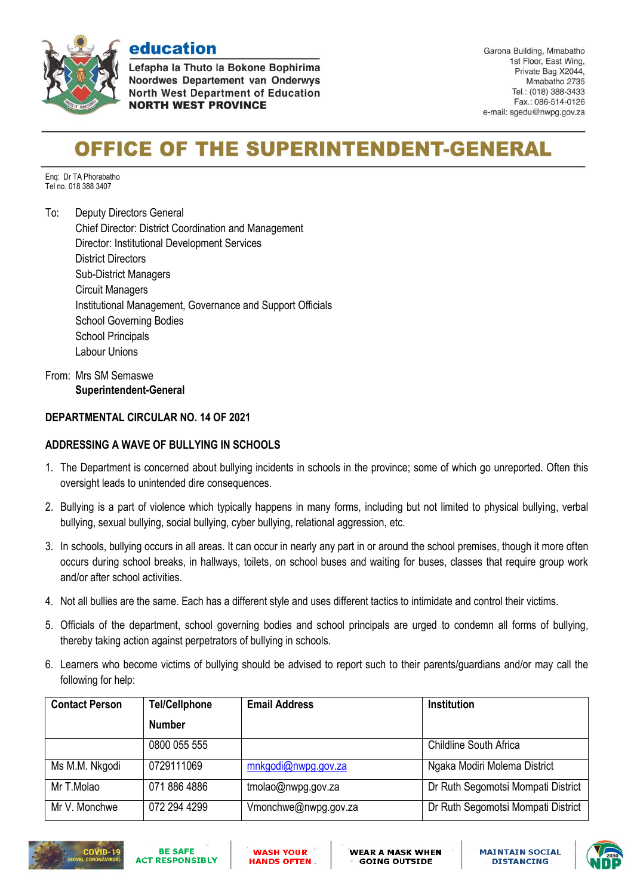

**Aducation<br>Lefapha la Thuto la Bokone Bophirima** Noordwes Departement van Onderwys **North West Department of Education NORTH WEST PROVINCE** 

Garona Building, Mmabatho 1st Floor, East Wing, Private Bag X2044, Mmabatho 2735 Tel.: (018) 388-3433 Fax.: 086-514-0126 e-mail: sgedu@nwpg.gov.za

## **OFFICE OF THE SUPERINTENDENT-GENERAL**

Enq: Dr TA Phorabatho Tel no. 018 388 3407

To: Deputy Directors General Chief Director: District Coordination and Management Director: Institutional Development Services District Directors Sub-District Managers Circuit Managers Institutional Management, Governance and Support Officials School Governing Bodies School Principals Labour Unions

From: Mrs SM Semaswe **Superintendent-General**

## **DEPARTMENTAL CIRCULAR NO. 14 OF 2021**

## **ADDRESSING A WAVE OF BULLYING IN SCHOOLS**

- 1. The Department is concerned about bullying incidents in schools in the province; some of which go unreported. Often this oversight leads to unintended dire consequences.
- 2. Bullying is a part of violence which typically happens in many forms, including but not limited to physical bullying, verbal bullying, sexual bullying, social bullying, cyber bullying, relational aggression, etc.
- 3. In schools, bullying occurs in all areas. It can occur in nearly any part in or around the school premises, though it more often occurs during school breaks, in hallways, toilets, on school buses and waiting for buses, classes that require group work and/or after school activities.
- 4. Not all bullies are the same. Each has a different style and uses different tactics to intimidate and control their victims.
- 5. Officials of the department, school governing bodies and school principals are urged to condemn all forms of bullying, thereby taking action against perpetrators of bullying in schools.
- 6. Learners who become victims of bullying should be advised to report such to their parents/guardians and/or may call the following for help:

| <b>Contact Person</b> | <b>Tel/Cellphone</b> | <b>Email Address</b> | <b>Institution</b>                 |
|-----------------------|----------------------|----------------------|------------------------------------|
|                       | <b>Number</b>        |                      |                                    |
|                       | 0800 055 555         |                      | <b>Childline South Africa</b>      |
| Ms M.M. Nkgodi        | 0729111069           | mnkgodi@nwpg.gov.za  | Ngaka Modiri Molema District       |
| Mr T.Molao            | 071 886 4886         | tmolao@nwpg.gov.za   | Dr Ruth Segomotsi Mompati District |
| Mr V. Monchwe         | 072 294 4299         | Vmonchwe@nwpg.gov.za | Dr Ruth Segomotsi Mompati District |